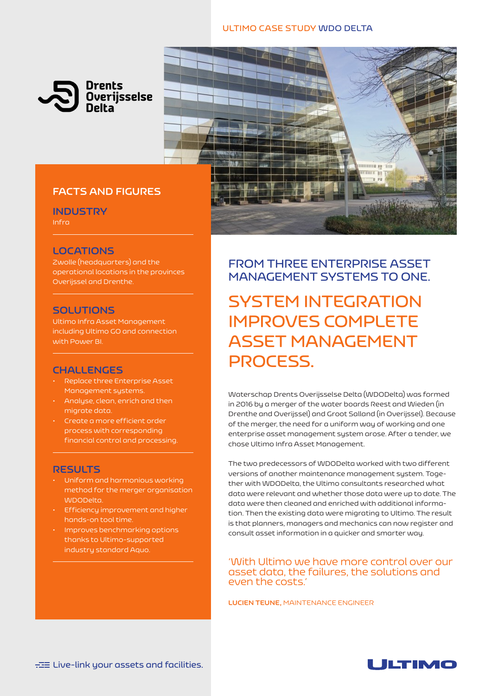### **ULTIMO CASE STUDY WDO DELTA**





### **FACTS AND FIGURES**

**INDUSTRY**

Infra

### **LOCATIONS**

Zwolle (headquarters) and the operational locations in the provinces Overijssel and Drenthe.

### **SOLUTIONS**

Ultimo Infra Asset Management including Ultimo GO and connection with Power BI.

### **CHALLENGES**

- Replace three Enterprise Asset Management systems.
- Analyse, clean, enrich and then migrate data.
- Create a more efficient order process with corresponding financial control and processing.

### **RESULTS**

- Uniform and harmonious working method for the merger organisation WDODelta.
- Efficiency improvement and higher hands-on tool time.
- Improves benchmarking options thanks to Ultimo-supported industry standard Aquo.

**FROM THREE ENTERPRISE ASSET MANAGEMENT SYSTEMS TO ONE.**

# **SYSTEM INTEGRATION IMPROVES COMPLETE ASSET MANAGEMENT PROCESS.**

Waterschap Drents Overijsselse Delta (WDODelta) was formed in 2016 by a merger of the water boards Reest and Wieden (in Drenthe and Overijssel) and Groot Salland (in Overijssel). Because of the merger, the need for a uniform way of working and one enterprise asset management system arose. After a tender, we chose Ultimo Infra Asset Management.

The two predecessors of WDODelta worked with two different versions of another maintenance management system. Together with WDODelta, the Ultimo consultants researched what data were relevant and whether those data were up to date. The data were then cleaned and enriched with additional information. Then the existing data were migrating to Ultimo. The result is that planners, managers and mechanics can now register and consult asset information in a quicker and smarter way.

'With Ultimo we have more control over our asset data, the failures, the solutions and even the costs.'

**LUCIEN TEUNE,** MAINTENANCE ENGINEER